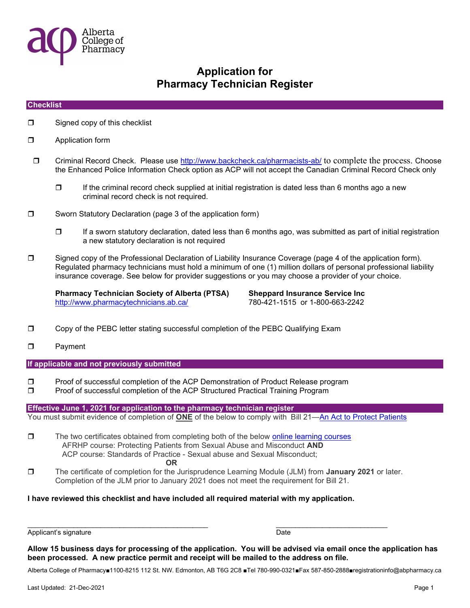

#### **Checklist**

- □ Signed copy of this checklist
- **D** Application form
- Criminal Record Check. Please use http://www.backcheck.ca/pharmacists-ab/ to complete the process. Choose the Enhanced Police Information Check option as ACP will not accept the Canadian Criminal Record Check only
	- $\Box$  If the criminal record check supplied at initial registration is dated less than 6 months ago a new criminal record check is not required.
- **D** Sworn Statutory Declaration (page 3 of the application form)
	- $\Box$  If a sworn statutory declaration, dated less than 6 months ago, was submitted as part of initial registration a new statutory declaration is not required
- Signed copy of the Professional Declaration of Liability Insurance Coverage (page 4 of the application form). Regulated pharmacy technicians must hold a minimum of one (1) million dollars of personal professional liability insurance coverage. See below for provider suggestions or you may choose a provider of your choice.

Pharmacy Technician Society of Alberta (PTSA) Sheppard Insurance Service Inc http://www.pharmacytechnicians.ab.ca/ 780-421-1515 or 1-800-663-2242

- Copy of the PEBC letter stating successful completion of the PEBC Qualifying Exam
- D Payment

If applicable and not previously submitted

- Proof of successful completion of the ACP Demonstration of Product Release program
- **D** Proof of successful completion of the ACP Structured Practical Training Program

Effective June 1, 2021 for application to the pharmacy technician register

You must submit evidence of completion of **ONE** of the below to comply with Bill 21—An Act to Protect Patients

- $\Box$  The two certificates obtained from completing both of the below online learning courses AFRHP course: Protecting Patients from Sexual Abuse and Misconduct AND ACP course: Standards of Practice - Sexual abuse and Sexual Misconduct; OR
- The certificate of completion for the Jurisprudence Learning Module (JLM) from **January 2021** or later. Completion of the JLM prior to January 2021 does not meet the requirement for Bill 21.

 $\overline{\phantom{a}}$  , and the contribution of the contribution of  $\overline{\phantom{a}}$  , and  $\overline{\phantom{a}}$  , and  $\overline{\phantom{a}}$  , and  $\overline{\phantom{a}}$ 

I have reviewed this checklist and have included all required material with my application.

Applicant's signature Date

Allow 15 business days for processing of the application. You will be advised via email once the application has been processed. A new practice permit and receipt will be mailed to the address on file.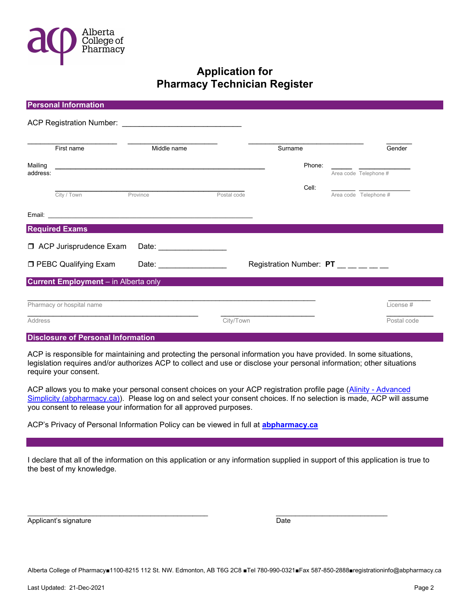

|                                                    | <b>Personal Information</b>          |                                                                                                                                                                                                                                |             |                                 |        |                       |  |
|----------------------------------------------------|--------------------------------------|--------------------------------------------------------------------------------------------------------------------------------------------------------------------------------------------------------------------------------|-------------|---------------------------------|--------|-----------------------|--|
|                                                    |                                      |                                                                                                                                                                                                                                |             |                                 |        |                       |  |
|                                                    | First name                           | Middle name                                                                                                                                                                                                                    |             | Surname                         |        | Gender                |  |
| Mailing                                            |                                      | <u> 2000 - 2000 - 2000 - 2000 - 2000 - 2000 - 2000 - 2000 - 2000 - 2000 - 2000 - 2000 - 2000 - 2000 - 2000 - 200</u>                                                                                                           |             |                                 | Phone: |                       |  |
| address:                                           |                                      |                                                                                                                                                                                                                                |             |                                 |        | Area code Telephone # |  |
|                                                    |                                      |                                                                                                                                                                                                                                |             |                                 | Cell:  |                       |  |
|                                                    | City / Town                          | Province                                                                                                                                                                                                                       | Postal code |                                 |        | Area code Telephone # |  |
|                                                    |                                      |                                                                                                                                                                                                                                |             |                                 |        |                       |  |
|                                                    | <b>Required Exams</b>                |                                                                                                                                                                                                                                |             |                                 |        |                       |  |
| □ ACP Jurisprudence Exam<br>Date: ________________ |                                      |                                                                                                                                                                                                                                |             |                                 |        |                       |  |
|                                                    | <b>D</b> PEBC Qualifying Exam        | Date: the contract of the contract of the contract of the contract of the contract of the contract of the contract of the contract of the contract of the contract of the contract of the contract of the contract of the cont |             | Registration Number: PT _______ |        |                       |  |
|                                                    | Current Employment - in Alberta only |                                                                                                                                                                                                                                |             |                                 |        |                       |  |
|                                                    |                                      |                                                                                                                                                                                                                                |             |                                 |        |                       |  |
|                                                    | Pharmacy or hospital name            |                                                                                                                                                                                                                                |             |                                 |        | License #             |  |
| Address                                            |                                      |                                                                                                                                                                                                                                | City/Town   |                                 |        | Postal code           |  |

#### Disclosure of Personal Information

ACP is responsible for maintaining and protecting the personal information you have provided. In some situations, legislation requires and/or authorizes ACP to collect and use or disclose your personal information; other situations require your consent.

ACP allows you to make your personal consent choices on your ACP registration profile page (Alinity - Advanced Simplicity (abpharmacy.ca)). Please log on and select your consent choices. If no selection is made, ACP will assume you consent to release your information for all approved purposes.

ACP's Privacy of Personal Information Policy can be viewed in full at **abpharmacy.ca** 

I declare that all of the information on this application or any information supplied in support of this application is true to the best of my knowledge.

Applicant's signature **Date** Date of the Date of the Date of the Date of the Date of the Date of the Date of the Date of the Date of the Date of the Date of the Date of the Date of the Date of the Date of the Date of the D

 $\overline{\phantom{a}}$  , and the contribution of the contribution of  $\overline{\phantom{a}}$  , and  $\overline{\phantom{a}}$  , and  $\overline{\phantom{a}}$  , and  $\overline{\phantom{a}}$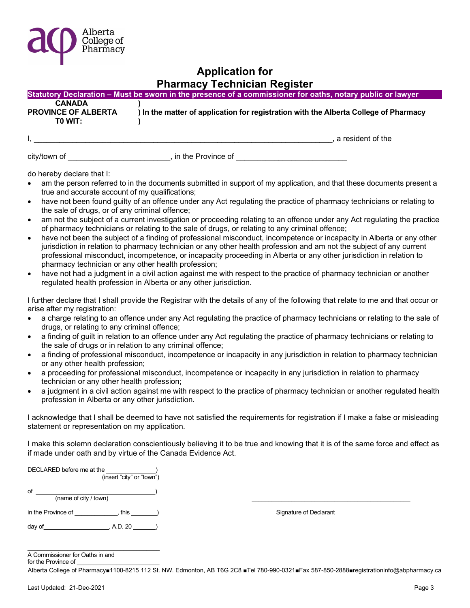

|                            | Statutory Declaration – Must be sworn in the presence of a commissioner for oaths, notary public or lawyer, |
|----------------------------|-------------------------------------------------------------------------------------------------------------|
| <b>CANADA</b>              |                                                                                                             |
| <b>PROVINCE OF ALBERTA</b> | ) In the matter of application for registration with the Alberta College of Pharmacy                        |
| TO WIT:                    |                                                                                                             |
|                            |                                                                                                             |
|                            | a resident of the                                                                                           |

city/town of \_\_\_\_\_\_\_\_\_\_\_\_\_\_\_\_\_\_\_\_\_\_\_\_\_\_\_\_\_, in the Province of

do hereby declare that I:

- am the person referred to in the documents submitted in support of my application, and that these documents present a true and accurate account of my qualifications;
- have not been found guilty of an offence under any Act regulating the practice of pharmacy technicians or relating to the sale of drugs, or of any criminal offence;
- am not the subject of a current investigation or proceeding relating to an offence under any Act regulating the practice of pharmacy technicians or relating to the sale of drugs, or relating to any criminal offence;
- have not been the subject of a finding of professional misconduct, incompetence or incapacity in Alberta or any other jurisdiction in relation to pharmacy technician or any other health profession and am not the subject of any current professional misconduct, incompetence, or incapacity proceeding in Alberta or any other jurisdiction in relation to pharmacy technician or any other health profession;
- have not had a judgment in a civil action against me with respect to the practice of pharmacy technician or another regulated health profession in Alberta or any other jurisdiction.

I further declare that I shall provide the Registrar with the details of any of the following that relate to me and that occur or arise after my registration:

- a charge relating to an offence under any Act regulating the practice of pharmacy technicians or relating to the sale of drugs, or relating to any criminal offence;
- a finding of guilt in relation to an offence under any Act regulating the practice of pharmacy technicians or relating to the sale of drugs or in relation to any criminal offence;
- a finding of professional misconduct, incompetence or incapacity in any jurisdiction in relation to pharmacy technician or any other health profession;
- a proceeding for professional misconduct, incompetence or incapacity in any jurisdiction in relation to pharmacy technician or any other health profession;
- a judgment in a civil action against me with respect to the practice of pharmacy technician or another regulated health profession in Alberta or any other jurisdiction.

I acknowledge that I shall be deemed to have not satisfied the requirements for registration if I make a false or misleading statement or representation on my application.

I make this solemn declaration conscientiously believing it to be true and knowing that it is of the same force and effect as if made under oath and by virtue of the Canada Evidence Act.

| DECLARED before me at the   | (insert "city" or "town") |                        |
|-----------------------------|---------------------------|------------------------|
| of<br>(name of city / town) |                           |                        |
| in the Province of          | this                      | Signature of Declarant |
| day of<br>A.D. 20           |                           |                        |

 $\_$ A Commissioner for Oaths in and

for the Province of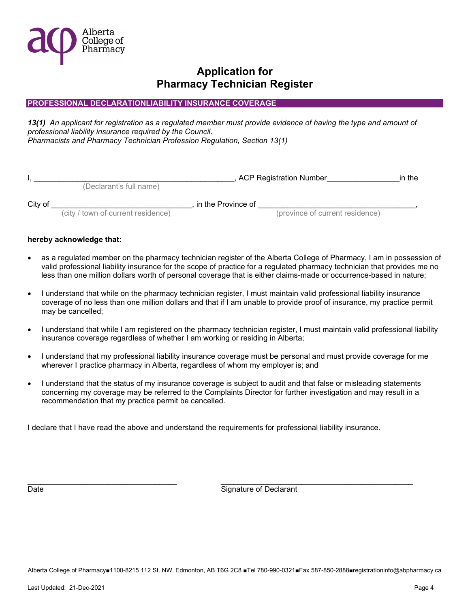

### PROFESSIONAL DECLARATIONLIABILITY INSURANCE COVERAGE

13(1) An applicant for registration as a regulated member must provide evidence of having the type and amount of professional liability insurance required by the Council. Pharmacists and Pharmacy Technician Profession Regulation, Section 13(1)

|         |                                    |                              | , ACP Registration Number       | in the |
|---------|------------------------------------|------------------------------|---------------------------------|--------|
|         | (Declarant's full name)            |                              |                                 |        |
| City of |                                    | $\,$ in the Province of $\,$ |                                 |        |
|         | (city / town of current residence) |                              | (province of current residence) |        |

#### hereby acknowledge that:

- as a regulated member on the pharmacy technician register of the Alberta College of Pharmacy, I am in possession of valid professional liability insurance for the scope of practice for a regulated pharmacy technician that provides me no less than one million dollars worth of personal coverage that is either claims-made or occurrence-based in nature;
- I understand that while on the pharmacy technician register, I must maintain valid professional liability insurance coverage of no less than one million dollars and that if I am unable to provide proof of insurance, my practice permit may be cancelled;
- I understand that while I am registered on the pharmacy technician register, I must maintain valid professional liability insurance coverage regardless of whether I am working or residing in Alberta;
- I understand that my professional liability insurance coverage must be personal and must provide coverage for me wherever I practice pharmacy in Alberta, regardless of whom my employer is; and
- I understand that the status of my insurance coverage is subject to audit and that false or misleading statements concerning my coverage may be referred to the Complaints Director for further investigation and may result in a recommendation that my practice permit be cancelled.

\_\_\_\_\_\_\_\_\_\_\_\_\_\_\_\_\_\_\_\_\_\_\_\_\_\_\_\_\_\_\_\_\_\_\_ \_\_\_\_\_\_\_\_\_\_\_\_\_\_\_\_\_\_\_\_\_\_\_\_\_\_\_\_\_\_\_\_\_\_\_\_\_\_\_\_\_\_\_\_\_

I declare that I have read the above and understand the requirements for professional liability insurance.

Date **Signature of Declarant** Control of Declarant Control of Signature of Declarant